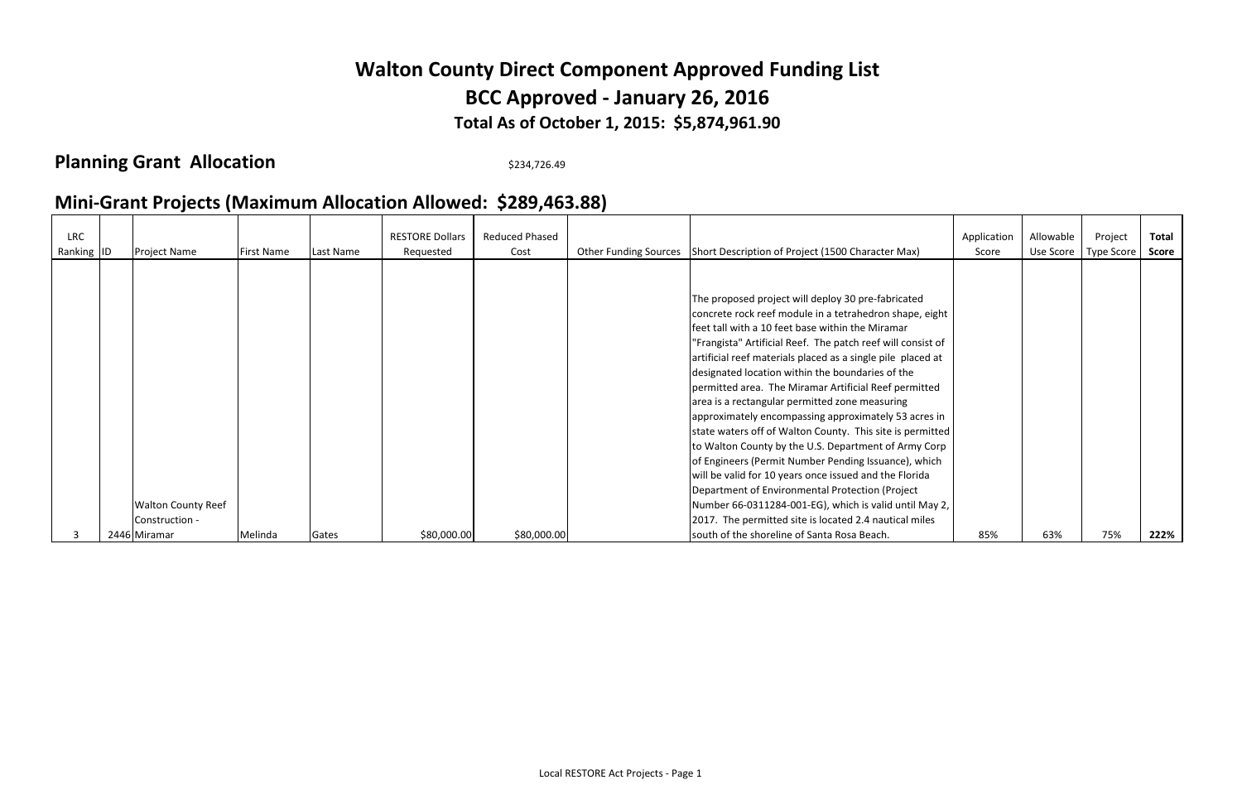## **Mini-Grant Projects (Maximum Allocation Allowed: \$289,463.88)**

| <b>LRC</b><br>Ranking ID | <b>Project Name</b>       | First Name | Last Name | <b>RESTORE Dollars</b><br>Requested | <b>Reduced Phased</b><br>Cost | Other Funding Sources   Short Description of Project (1500 Character Max)                                                                                                                                                                                                                                                                                                                                                                                                                                                                                                                                                                                                                                                                                     | Application<br>Score | Allowable<br>Use Score | Project<br>Type Score | <b>Total</b><br><b>Score</b> |
|--------------------------|---------------------------|------------|-----------|-------------------------------------|-------------------------------|---------------------------------------------------------------------------------------------------------------------------------------------------------------------------------------------------------------------------------------------------------------------------------------------------------------------------------------------------------------------------------------------------------------------------------------------------------------------------------------------------------------------------------------------------------------------------------------------------------------------------------------------------------------------------------------------------------------------------------------------------------------|----------------------|------------------------|-----------------------|------------------------------|
|                          |                           |            |           |                                     |                               |                                                                                                                                                                                                                                                                                                                                                                                                                                                                                                                                                                                                                                                                                                                                                               |                      |                        |                       |                              |
|                          |                           |            |           |                                     |                               | The proposed project will deploy 30 pre-fabricated<br>concrete rock reef module in a tetrahedron shape, eight<br>feet tall with a 10 feet base within the Miramar<br>"Frangista" Artificial Reef. The patch reef will consist of<br>artificial reef materials placed as a single pile placed at<br>designated location within the boundaries of the<br>permitted area. The Miramar Artificial Reef permitted<br>area is a rectangular permitted zone measuring<br>approximately encompassing approximately 53 acres in<br>state waters off of Walton County. This site is permitted<br>to Walton County by the U.S. Department of Army Corp<br>of Engineers (Permit Number Pending Issuance), which<br>will be valid for 10 years once issued and the Florida |                      |                        |                       |                              |
|                          |                           |            |           |                                     |                               | Department of Environmental Protection (Project                                                                                                                                                                                                                                                                                                                                                                                                                                                                                                                                                                                                                                                                                                               |                      |                        |                       |                              |
|                          | <b>Walton County Reef</b> |            |           |                                     |                               | Number 66-0311284-001-EG), which is valid until May 2,                                                                                                                                                                                                                                                                                                                                                                                                                                                                                                                                                                                                                                                                                                        |                      |                        |                       |                              |
|                          | Construction -            |            |           |                                     |                               | 2017. The permitted site is located 2.4 nautical miles                                                                                                                                                                                                                                                                                                                                                                                                                                                                                                                                                                                                                                                                                                        |                      |                        |                       |                              |
|                          | 2446 Miramar              | Melinda    | Gates     | \$80,000.00                         | \$80,000.00                   | south of the shoreline of Santa Rosa Beach.                                                                                                                                                                                                                                                                                                                                                                                                                                                                                                                                                                                                                                                                                                                   | 85%                  | 63%                    | 75%                   | 222%                         |

## **Total As of October 1, 2015: \$5,874,961.90 Walton County Direct Component Approved Funding List BCC Approved - January 26, 2016**

## **Planning Grant Allocation** \$234,726.49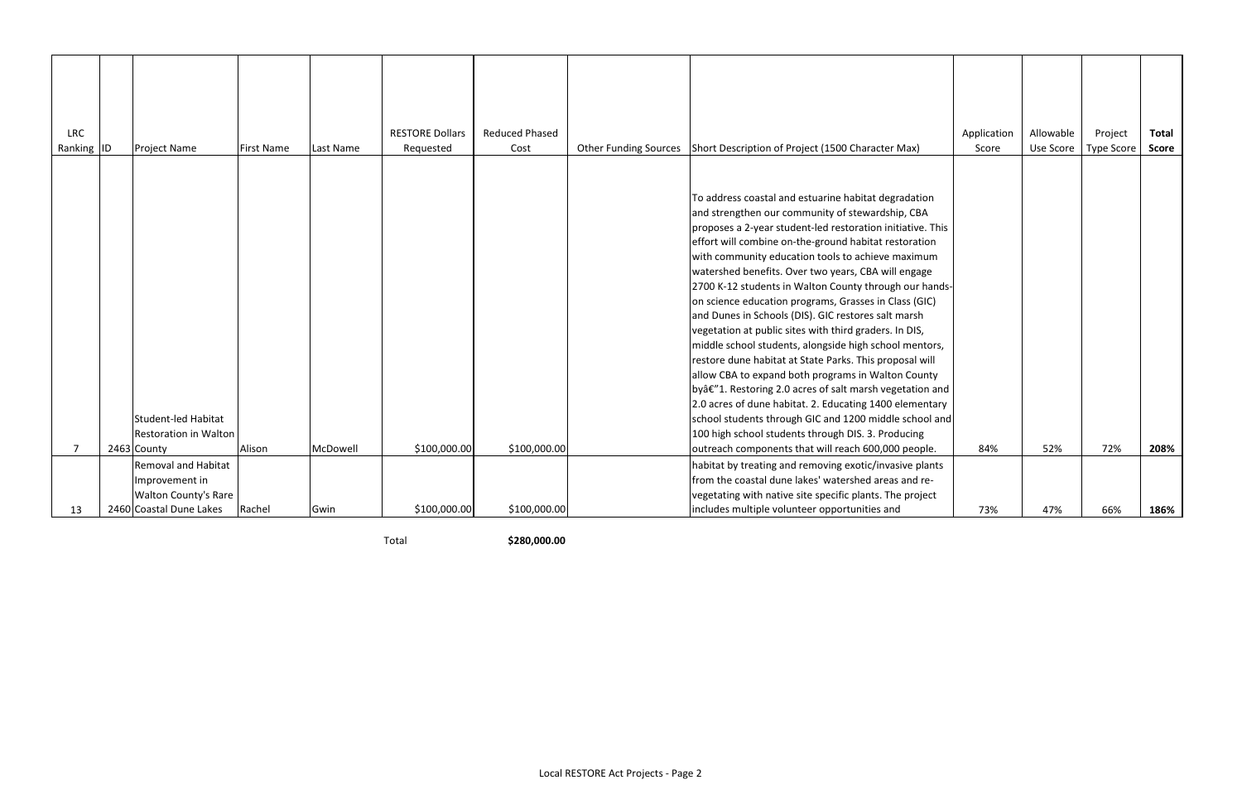| <b>LRC</b><br>Ranking ID | Project Name                                           | <b>First Name</b> | Last Name | <b>RESTORE Dollars</b><br>Requested | <b>Reduced Phased</b><br>Cost | <b>Other Funding Sources</b> | Short Description of Project (1500 Character Max)                                                                                                                                                                                                                                                                                                                                                                                                                                                                                                                                                                                                                                                                                                                                                                                                                                                                                                                                                                                                        | Application<br>Score | Allowable<br>Use Score | Project<br><b>Type Score</b> | <b>Total</b><br><b>Score</b> |
|--------------------------|--------------------------------------------------------|-------------------|-----------|-------------------------------------|-------------------------------|------------------------------|----------------------------------------------------------------------------------------------------------------------------------------------------------------------------------------------------------------------------------------------------------------------------------------------------------------------------------------------------------------------------------------------------------------------------------------------------------------------------------------------------------------------------------------------------------------------------------------------------------------------------------------------------------------------------------------------------------------------------------------------------------------------------------------------------------------------------------------------------------------------------------------------------------------------------------------------------------------------------------------------------------------------------------------------------------|----------------------|------------------------|------------------------------|------------------------------|
|                          | Student-led Habitat<br><b>Restoration in Walton</b>    | Alison            | McDowell  | \$100,000.00                        | \$100,000.00                  |                              | To address coastal and estuarine habitat degradation<br>and strengthen our community of stewardship, CBA<br>proposes a 2-year student-led restoration initiative. This<br>effort will combine on-the-ground habitat restoration<br>with community education tools to achieve maximum<br>watershed benefits. Over two years, CBA will engage<br>2700 K-12 students in Walton County through our hands-<br>on science education programs, Grasses in Class (GIC)<br>and Dunes in Schools (DIS). GIC restores salt marsh<br>vegetation at public sites with third graders. In DIS,<br>middle school students, alongside high school mentors,<br>restore dune habitat at State Parks. This proposal will<br>allow CBA to expand both programs in Walton County<br>byâ€"1. Restoring 2.0 acres of salt marsh vegetation and<br>2.0 acres of dune habitat. 2. Educating 1400 elementary<br>school students through GIC and 1200 middle school and<br>100 high school students through DIS. 3. Producing<br>outreach components that will reach 600,000 people. | 84%                  | 52%                    | 72%                          | 208%                         |
|                          | 2463 County<br><b>Removal and Habitat</b>              |                   |           |                                     |                               |                              | habitat by treating and removing exotic/invasive plants                                                                                                                                                                                                                                                                                                                                                                                                                                                                                                                                                                                                                                                                                                                                                                                                                                                                                                                                                                                                  |                      |                        |                              |                              |
|                          | Improvement in                                         |                   |           |                                     |                               |                              | from the coastal dune lakes' watershed areas and re-                                                                                                                                                                                                                                                                                                                                                                                                                                                                                                                                                                                                                                                                                                                                                                                                                                                                                                                                                                                                     |                      |                        |                              |                              |
| 13                       | <b>Walton County's Rare</b><br>2460 Coastal Dune Lakes | Rachel            | Gwin      | \$100,000.00                        | \$100,000.00                  |                              | vegetating with native site specific plants. The project<br>includes multiple volunteer opportunities and                                                                                                                                                                                                                                                                                                                                                                                                                                                                                                                                                                                                                                                                                                                                                                                                                                                                                                                                                | 73%                  | 47%                    | 66%                          | 186%                         |

Total **\$280,000.00**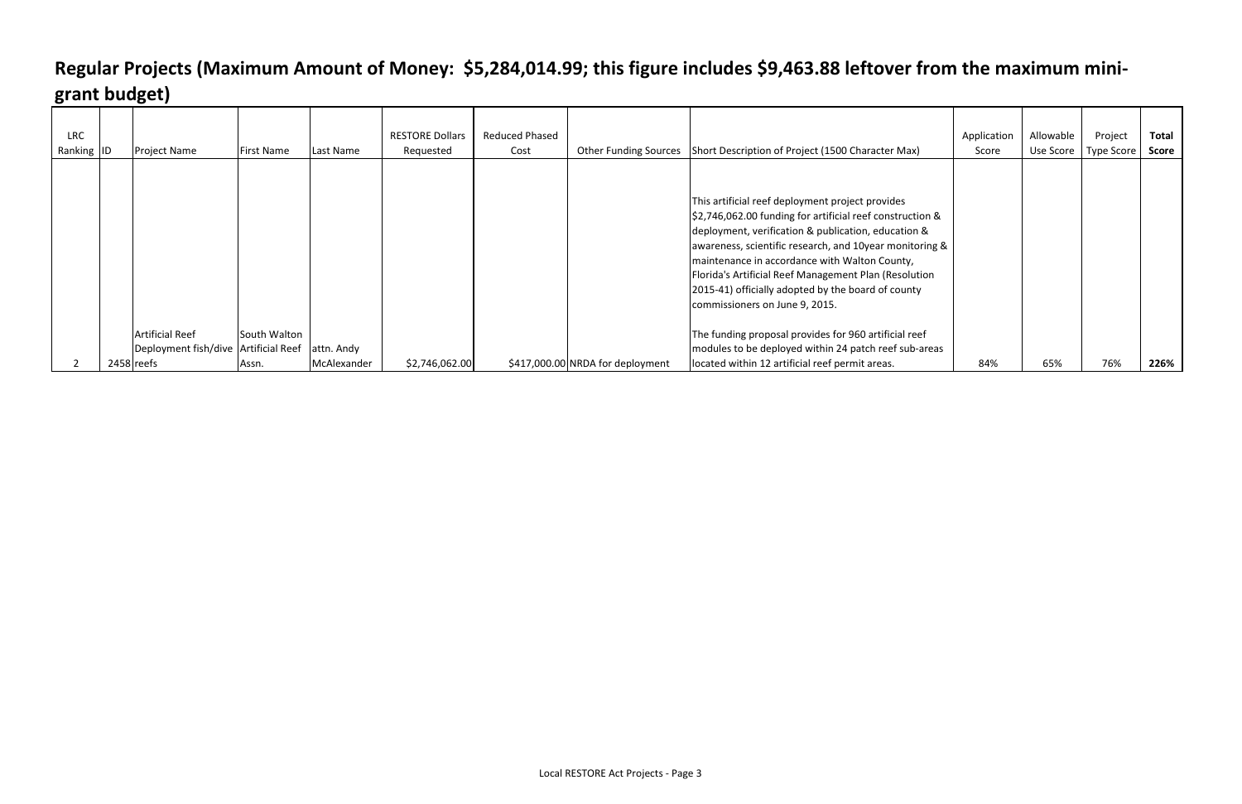| <b>LRC</b><br>Ranking ID | <b>Project Name</b>                                            | First Name   | Last Name   | <b>RESTORE Dollars</b><br>Requested | <b>Reduced Phased</b><br>Cost |                                  | Other Funding Sources Short Description of Project (1500 Character Max)                                                                                                                                                                                                                                                                                                                                                                                                                                                                              | Application<br>Score | Allowable | Project<br>Use Score   Type Score | <b>Total</b><br><b>Score</b> |
|--------------------------|----------------------------------------------------------------|--------------|-------------|-------------------------------------|-------------------------------|----------------------------------|------------------------------------------------------------------------------------------------------------------------------------------------------------------------------------------------------------------------------------------------------------------------------------------------------------------------------------------------------------------------------------------------------------------------------------------------------------------------------------------------------------------------------------------------------|----------------------|-----------|-----------------------------------|------------------------------|
|                          | <b>Artificial Reef</b><br>Deployment fish/dive Artificial Reef | South Walton | attn. Andy  |                                     |                               |                                  | This artificial reef deployment project provides<br>\$2,746,062.00 funding for artificial reef construction &<br>deployment, verification & publication, education &<br>awareness, scientific research, and 10year monitoring &<br>maintenance in accordance with Walton County,<br>Florida's Artificial Reef Management Plan (Resolution<br>[2015-41] officially adopted by the board of county<br>commissioners on June 9, 2015.<br>The funding proposal provides for 960 artificial reef<br>modules to be deployed within 24 patch reef sub-areas |                      |           |                                   |                              |
|                          | 2458 reefs                                                     | Assn.        | McAlexander | \$2,746,062.00                      |                               | \$417,000.00 NRDA for deployment | located within 12 artificial reef permit areas.                                                                                                                                                                                                                                                                                                                                                                                                                                                                                                      | 84%                  | 65%       | 76%                               | 226%                         |

## **Regular Projects (Maximum Amount of Money: \$5,284,014.99; this figure includes \$9,463.88 leftover from the maximum minigrant budget)**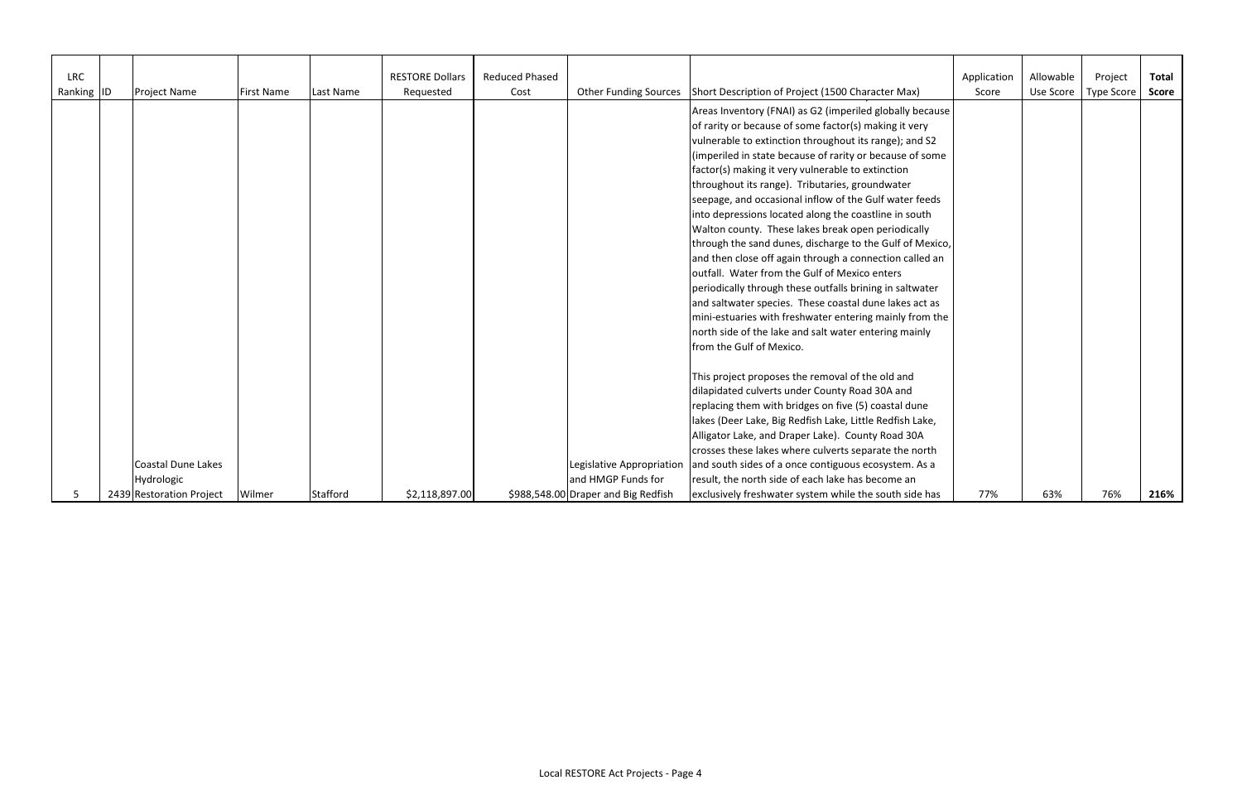| <b>LRC</b> |                           |                   |                 | <b>RESTORE Dollars</b> | <b>Reduced Phased</b> |                                     |                                                                         | Application | Allowable | Project           | <b>Total</b> |
|------------|---------------------------|-------------------|-----------------|------------------------|-----------------------|-------------------------------------|-------------------------------------------------------------------------|-------------|-----------|-------------------|--------------|
| Ranking ID | Project Name              | <b>First Name</b> | Last Name       | Requested              | Cost                  |                                     | Other Funding Sources Short Description of Project (1500 Character Max) | Score       | Use Score | <b>Type Score</b> | <b>Score</b> |
|            |                           |                   |                 |                        |                       |                                     | Areas Inventory (FNAI) as G2 (imperiled globally because                |             |           |                   |              |
|            |                           |                   |                 |                        |                       |                                     | of rarity or because of some factor(s) making it very                   |             |           |                   |              |
|            |                           |                   |                 |                        |                       |                                     | vulnerable to extinction throughout its range); and S2                  |             |           |                   |              |
|            |                           |                   |                 |                        |                       |                                     | (imperiled in state because of rarity or because of some                |             |           |                   |              |
|            |                           |                   |                 |                        |                       |                                     | factor(s) making it very vulnerable to extinction                       |             |           |                   |              |
|            |                           |                   |                 |                        |                       |                                     | throughout its range). Tributaries, groundwater                         |             |           |                   |              |
|            |                           |                   |                 |                        |                       |                                     | seepage, and occasional inflow of the Gulf water feeds                  |             |           |                   |              |
|            |                           |                   |                 |                        |                       |                                     | into depressions located along the coastline in south                   |             |           |                   |              |
|            |                           |                   |                 |                        |                       |                                     | Walton county. These lakes break open periodically                      |             |           |                   |              |
|            |                           |                   |                 |                        |                       |                                     | through the sand dunes, discharge to the Gulf of Mexico,                |             |           |                   |              |
|            |                           |                   |                 |                        |                       |                                     | and then close off again through a connection called an                 |             |           |                   |              |
|            |                           |                   |                 |                        |                       |                                     | outfall. Water from the Gulf of Mexico enters                           |             |           |                   |              |
|            |                           |                   |                 |                        |                       |                                     | periodically through these outfalls brining in saltwater                |             |           |                   |              |
|            |                           |                   |                 |                        |                       |                                     | and saltwater species. These coastal dune lakes act as                  |             |           |                   |              |
|            |                           |                   |                 |                        |                       |                                     | mini-estuaries with freshwater entering mainly from the                 |             |           |                   |              |
|            |                           |                   |                 |                        |                       |                                     | north side of the lake and salt water entering mainly                   |             |           |                   |              |
|            |                           |                   |                 |                        |                       |                                     | from the Gulf of Mexico.                                                |             |           |                   |              |
|            |                           |                   |                 |                        |                       |                                     | This project proposes the removal of the old and                        |             |           |                   |              |
|            |                           |                   |                 |                        |                       |                                     | dilapidated culverts under County Road 30A and                          |             |           |                   |              |
|            |                           |                   |                 |                        |                       |                                     | replacing them with bridges on five (5) coastal dune                    |             |           |                   |              |
|            |                           |                   |                 |                        |                       |                                     | lakes (Deer Lake, Big Redfish Lake, Little Redfish Lake,                |             |           |                   |              |
|            |                           |                   |                 |                        |                       |                                     | Alligator Lake, and Draper Lake). County Road 30A                       |             |           |                   |              |
|            |                           |                   |                 |                        |                       |                                     | crosses these lakes where culverts separate the north                   |             |           |                   |              |
|            | <b>Coastal Dune Lakes</b> |                   |                 |                        |                       | Legislative Appropriation           | and south sides of a once contiguous ecosystem. As a                    |             |           |                   |              |
|            | Hydrologic                |                   |                 |                        |                       | and HMGP Funds for                  | result, the north side of each lake has become an                       |             |           |                   |              |
|            | 2439 Restoration Project  | Wilmer            | <b>Stafford</b> | \$2,118,897.00         |                       | \$988,548.00 Draper and Big Redfish | exclusively freshwater system while the south side has                  | 77%         | 63%       | 76%               | 216%         |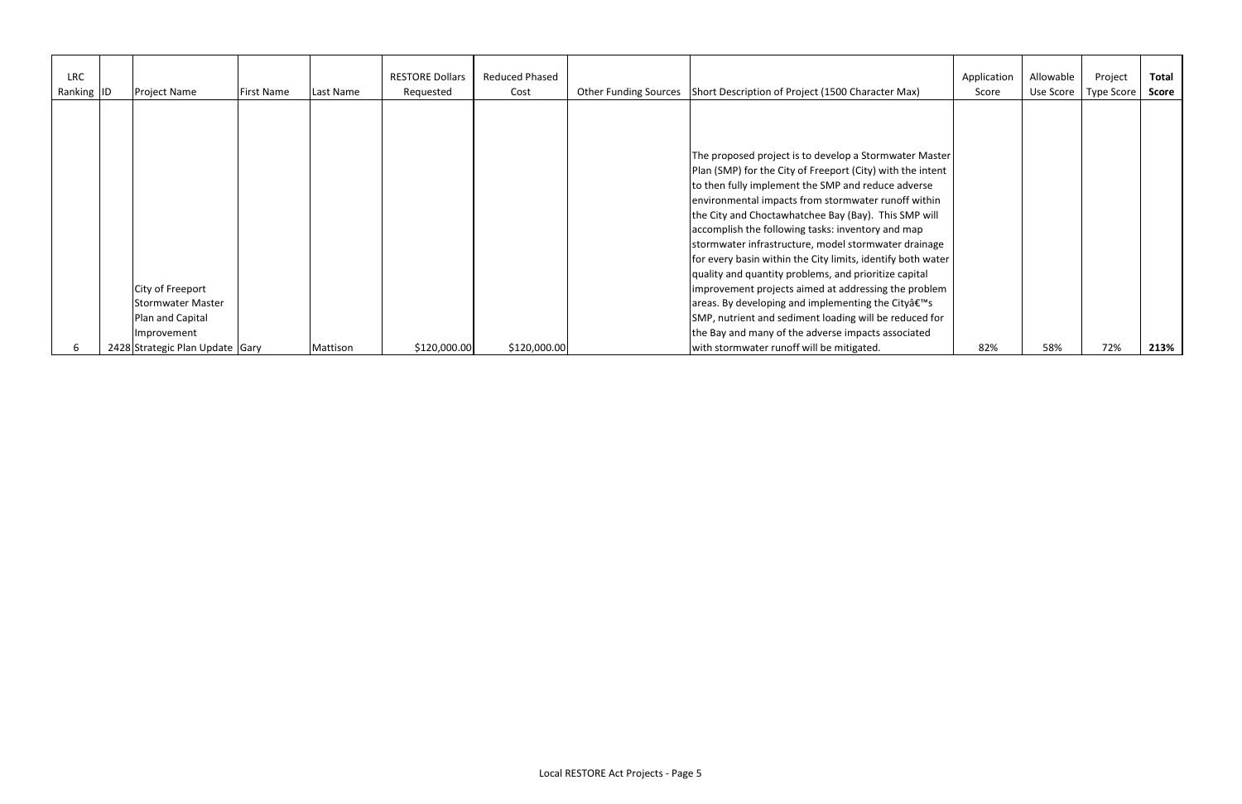| <b>LRC</b><br>Ranking ID | Project Name                                                             | <b>First Name</b> | Last Name | <b>RESTORE Dollars</b><br>Requested | Reduced Phased<br>Cost | <b>Other Funding Sources</b> | Short Description of Project (1500 Character Max)                                                                                                                                                                                                                                                                                                                                                                                                                                                                                                                                                                                                                                                                                                                         | Application<br>Score | Allowable<br>Use Score | Project<br>Type Score | <b>Total</b><br><b>Score</b> |
|--------------------------|--------------------------------------------------------------------------|-------------------|-----------|-------------------------------------|------------------------|------------------------------|---------------------------------------------------------------------------------------------------------------------------------------------------------------------------------------------------------------------------------------------------------------------------------------------------------------------------------------------------------------------------------------------------------------------------------------------------------------------------------------------------------------------------------------------------------------------------------------------------------------------------------------------------------------------------------------------------------------------------------------------------------------------------|----------------------|------------------------|-----------------------|------------------------------|
|                          | City of Freeport<br>Stormwater Master<br>Plan and Capital<br>Improvement |                   |           |                                     |                        |                              | The proposed project is to develop a Stormwater Master<br>Plan (SMP) for the City of Freeport (City) with the intent<br>to then fully implement the SMP and reduce adverse<br>environmental impacts from stormwater runoff within<br>the City and Choctawhatchee Bay (Bay). This SMP will<br>accomplish the following tasks: inventory and map<br>stormwater infrastructure, model stormwater drainage<br>for every basin within the City limits, identify both water<br>quality and quantity problems, and prioritize capital<br>improvement projects aimed at addressing the problem<br>areas. By developing and implementing the Cityâ€ <sup>™</sup> s<br>SMP, nutrient and sediment loading will be reduced for<br>the Bay and many of the adverse impacts associated |                      |                        |                       |                              |
|                          | 2428 Strategic Plan Update Gary                                          |                   | Mattison  | \$120,000.00                        | \$120,000.00           |                              | with stormwater runoff will be mitigated.                                                                                                                                                                                                                                                                                                                                                                                                                                                                                                                                                                                                                                                                                                                                 | 82%                  | 58%                    | 72%                   | 213%                         |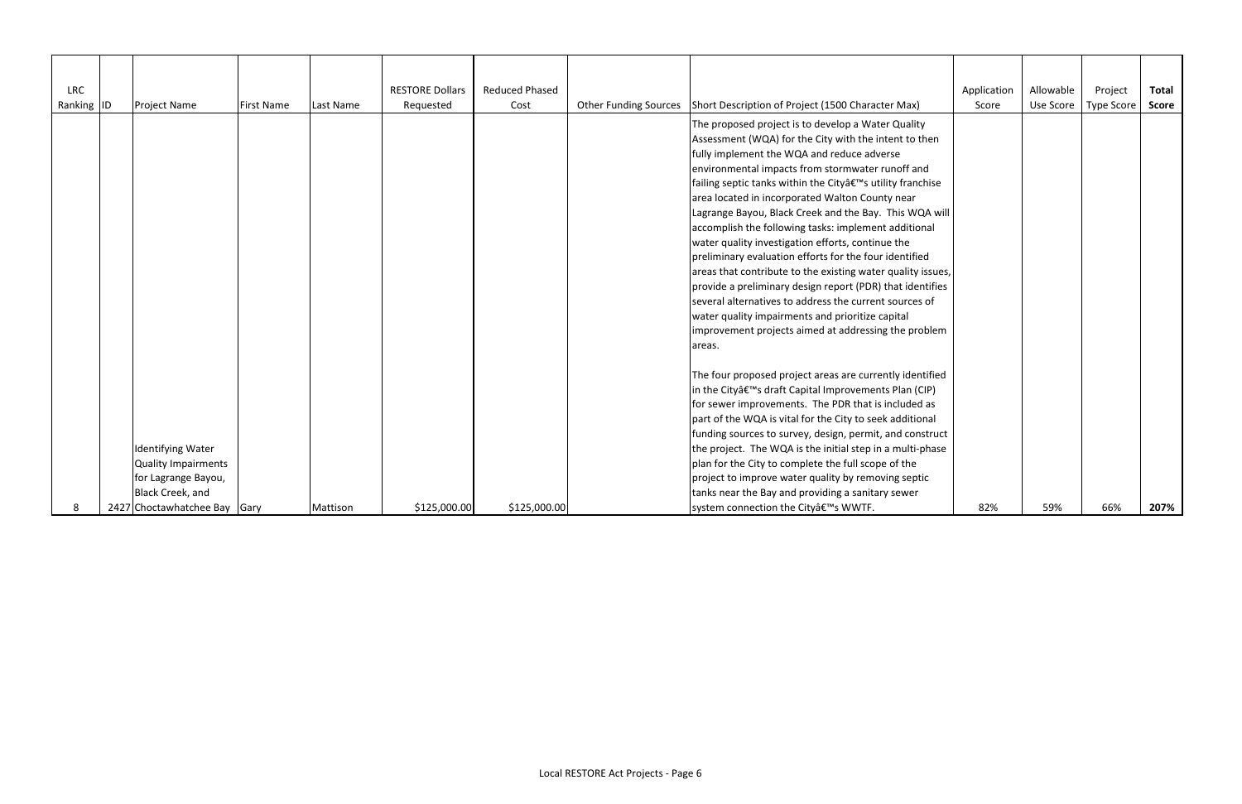| <b>LRC</b><br>Ranking ID | <b>Project Name</b>                                                                                                        | <b>First Name</b> | Last Name | <b>RESTORE Dollars</b><br>Requested | <b>Reduced Phased</b><br>Cost | <b>Other Funding Sources</b> | Short Description of Project (1500 Character Max)                                                                                                                                                                                                                                                                                                                                                                                                                                                                                                                                                                                                                                                                                                                                                                                                                                        | Application<br>Score | Allowable<br>Use Score | Project<br><b>Type Score</b> | <b>Total</b><br><b>Score</b> |
|--------------------------|----------------------------------------------------------------------------------------------------------------------------|-------------------|-----------|-------------------------------------|-------------------------------|------------------------------|------------------------------------------------------------------------------------------------------------------------------------------------------------------------------------------------------------------------------------------------------------------------------------------------------------------------------------------------------------------------------------------------------------------------------------------------------------------------------------------------------------------------------------------------------------------------------------------------------------------------------------------------------------------------------------------------------------------------------------------------------------------------------------------------------------------------------------------------------------------------------------------|----------------------|------------------------|------------------------------|------------------------------|
|                          |                                                                                                                            |                   |           |                                     |                               |                              | The proposed project is to develop a Water Quality<br>Assessment (WQA) for the City with the intent to then<br>fully implement the WQA and reduce adverse<br>environmental impacts from stormwater runoff and<br>failing septic tanks within the Cityâ€ <sup>™</sup> s utility franchise<br>area located in incorporated Walton County near<br>Lagrange Bayou, Black Creek and the Bay. This WQA will<br>accomplish the following tasks: implement additional<br>water quality investigation efforts, continue the<br>preliminary evaluation efforts for the four identified<br>areas that contribute to the existing water quality issues,<br>provide a preliminary design report (PDR) that identifies<br>several alternatives to address the current sources of<br>water quality impairments and prioritize capital<br>improvement projects aimed at addressing the problem<br>areas. |                      |                        |                              |                              |
|                          | Identifying Water<br>Quality Impairments<br>for Lagrange Bayou,<br><b>Black Creek, and</b><br>2427 Choctawhatchee Bay Gary |                   | Mattison  | \$125,000.00                        | \$125,000.00                  |                              | The four proposed project areas are currently identified<br>in the Cityâ€ <sup>™</sup> s draft Capital Improvements Plan (CIP)<br>for sewer improvements. The PDR that is included as<br>part of the WQA is vital for the City to seek additional<br>funding sources to survey, design, permit, and construct<br>the project. The WQA is the initial step in a multi-phase<br>plan for the City to complete the full scope of the<br>project to improve water quality by removing septic<br>tanks near the Bay and providing a sanitary sewer<br>system connection the City's WWTF.                                                                                                                                                                                                                                                                                                      | 82%                  | 59%                    | 66%                          | 207%                         |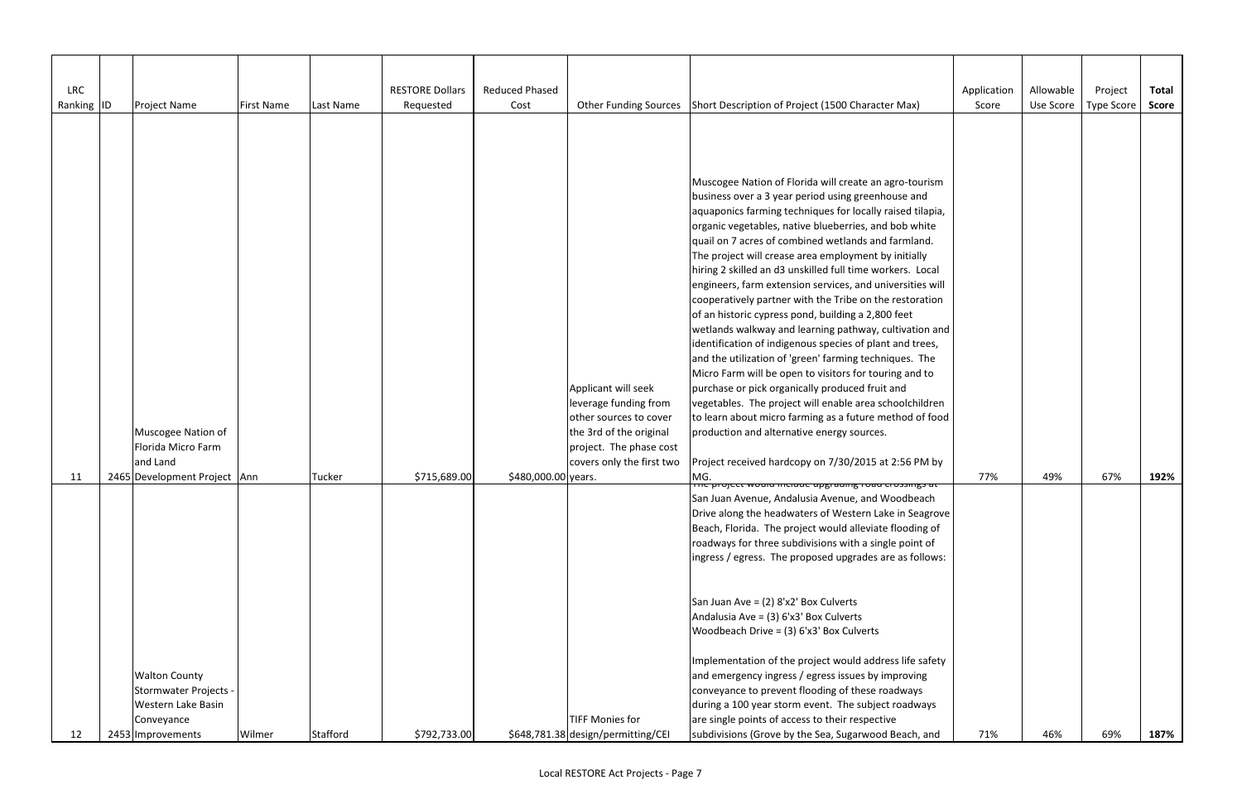| <b>LRC</b> | <b>Project Name</b>                                                                                  |                   |           | <b>RESTORE Dollars</b> | <b>Reduced Phased</b> |                                                                                                                                                           |                                                                                                                                                                                                                                                                                                                                                                                                                                                                                                                                                                                                                                                                                                                                                                                                                                                                                                                                                                                                                                                                                                                       | Application | Allowable<br>Use Score | Project    | <b>Total</b><br><b>Score</b> |
|------------|------------------------------------------------------------------------------------------------------|-------------------|-----------|------------------------|-----------------------|-----------------------------------------------------------------------------------------------------------------------------------------------------------|-----------------------------------------------------------------------------------------------------------------------------------------------------------------------------------------------------------------------------------------------------------------------------------------------------------------------------------------------------------------------------------------------------------------------------------------------------------------------------------------------------------------------------------------------------------------------------------------------------------------------------------------------------------------------------------------------------------------------------------------------------------------------------------------------------------------------------------------------------------------------------------------------------------------------------------------------------------------------------------------------------------------------------------------------------------------------------------------------------------------------|-------------|------------------------|------------|------------------------------|
| Ranking ID |                                                                                                      | <b>First Name</b> | Last Name | Requested              | Cost                  | <b>Other Funding Sources</b>                                                                                                                              | Short Description of Project (1500 Character Max)                                                                                                                                                                                                                                                                                                                                                                                                                                                                                                                                                                                                                                                                                                                                                                                                                                                                                                                                                                                                                                                                     | Score       |                        | Type Score |                              |
|            | Muscogee Nation of<br>Florida Micro Farm<br>and Land                                                 |                   |           |                        |                       | Applicant will seek<br>leverage funding from<br>other sources to cover<br>the 3rd of the original<br>project. The phase cost<br>covers only the first two | Muscogee Nation of Florida will create an agro-tourism<br>business over a 3 year period using greenhouse and<br>aquaponics farming techniques for locally raised tilapia,<br>organic vegetables, native blueberries, and bob white<br>quail on 7 acres of combined wetlands and farmland.<br>The project will crease area employment by initially<br>hiring 2 skilled an d3 unskilled full time workers. Local<br>engineers, farm extension services, and universities will<br>cooperatively partner with the Tribe on the restoration<br>of an historic cypress pond, building a 2,800 feet<br>wetlands walkway and learning pathway, cultivation and<br>identification of indigenous species of plant and trees,<br>and the utilization of 'green' farming techniques. The<br>Micro Farm will be open to visitors for touring and to<br>purchase or pick organically produced fruit and<br>vegetables. The project will enable area schoolchildren<br>to learn about micro farming as a future method of food<br>production and alternative energy sources.<br>Project received hardcopy on 7/30/2015 at 2:56 PM by |             |                        |            |                              |
| 11         | 2465 Development Project Ann                                                                         |                   | Tucker    | \$715,689.00           | \$480,000.00 years.   |                                                                                                                                                           | MG.<br><u>πε μισίεςς modia include apgrading road crossings at</u>                                                                                                                                                                                                                                                                                                                                                                                                                                                                                                                                                                                                                                                                                                                                                                                                                                                                                                                                                                                                                                                    | 77%         | 49%                    | 67%        | 192%                         |
|            |                                                                                                      |                   |           |                        |                       |                                                                                                                                                           | San Juan Avenue, Andalusia Avenue, and Woodbeach<br>Drive along the headwaters of Western Lake in Seagrove<br>Beach, Florida. The project would alleviate flooding of<br>roadways for three subdivisions with a single point of<br>ingress / egress. The proposed upgrades are as follows:<br>San Juan Ave = $(2) 8'x2'$ Box Culverts<br>Andalusia Ave = (3) 6'x3' Box Culverts<br>Woodbeach Drive = $(3)$ 6'x3' Box Culverts                                                                                                                                                                                                                                                                                                                                                                                                                                                                                                                                                                                                                                                                                         |             |                        |            |                              |
| 12         | <b>Walton County</b><br>Stormwater Projects<br>Western Lake Basin<br>Conveyance<br>2453 Improvements | Wilmer            | Stafford  | \$792,733.00           |                       | <b>TIFF Monies for</b><br>\$648,781.38 design/permitting/CEI                                                                                              | Implementation of the project would address life safety<br>and emergency ingress / egress issues by improving<br>conveyance to prevent flooding of these roadways<br>during a 100 year storm event. The subject roadways<br>are single points of access to their respective<br>subdivisions (Grove by the Sea, Sugarwood Beach, and                                                                                                                                                                                                                                                                                                                                                                                                                                                                                                                                                                                                                                                                                                                                                                                   | 71%         | 46%                    | 69%        | 187%                         |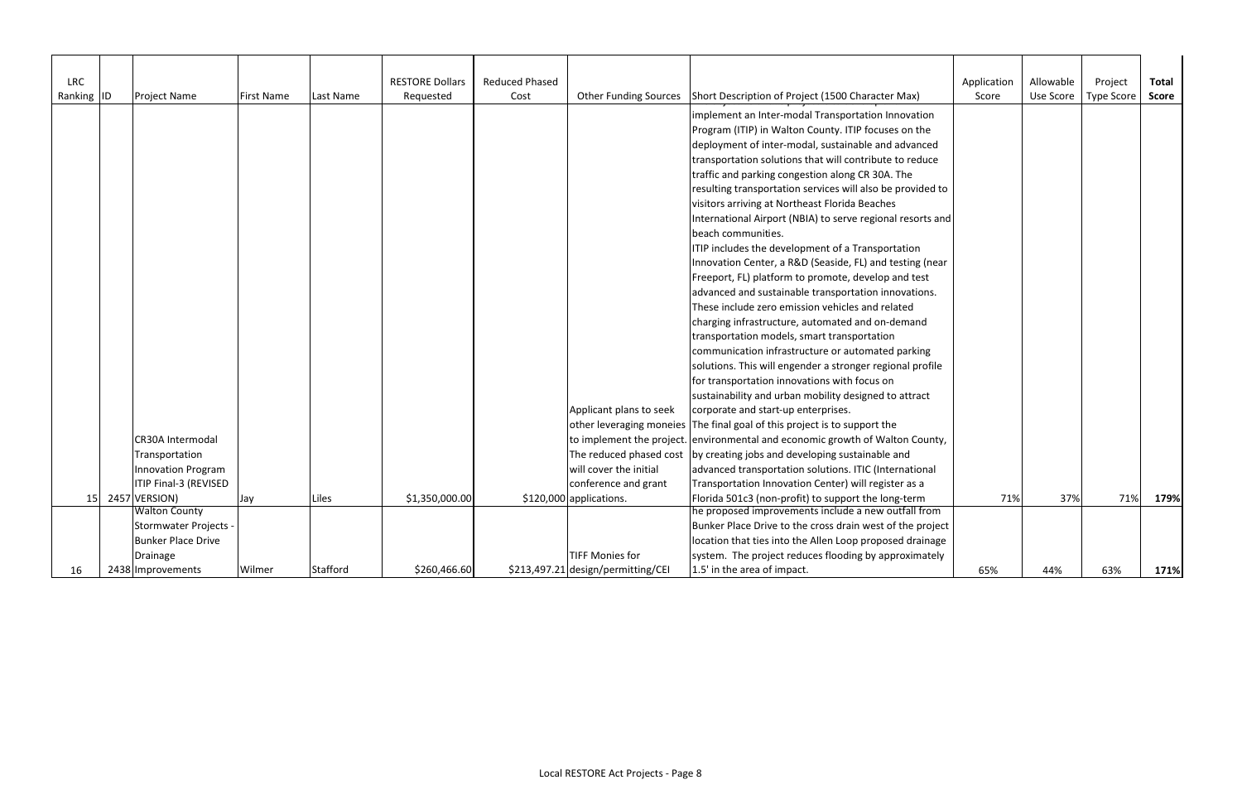| LRC        |                           |                   |                 | <b>RESTORE Dollars</b> | <b>Reduced Phased</b> |                                    |                                                                               | Application | Allowable | Project           | <b>Total</b> |
|------------|---------------------------|-------------------|-----------------|------------------------|-----------------------|------------------------------------|-------------------------------------------------------------------------------|-------------|-----------|-------------------|--------------|
| Ranking ID | <b>Project Name</b>       | <b>First Name</b> | Last Name       | Requested              | Cost                  |                                    | Other Funding Sources Short Description of Project (1500 Character Max)       | Score       | Use Score | <b>Type Score</b> | <b>Score</b> |
|            |                           |                   |                 |                        |                       |                                    | implement an Inter-modal Transportation Innovation                            |             |           |                   |              |
|            |                           |                   |                 |                        |                       |                                    | Program (ITIP) in Walton County. ITIP focuses on the                          |             |           |                   |              |
|            |                           |                   |                 |                        |                       |                                    |                                                                               |             |           |                   |              |
|            |                           |                   |                 |                        |                       |                                    | deployment of inter-modal, sustainable and advanced                           |             |           |                   |              |
|            |                           |                   |                 |                        |                       |                                    | transportation solutions that will contribute to reduce                       |             |           |                   |              |
|            |                           |                   |                 |                        |                       |                                    | traffic and parking congestion along CR 30A. The                              |             |           |                   |              |
|            |                           |                   |                 |                        |                       |                                    | resulting transportation services will also be provided to                    |             |           |                   |              |
|            |                           |                   |                 |                        |                       |                                    | visitors arriving at Northeast Florida Beaches                                |             |           |                   |              |
|            |                           |                   |                 |                        |                       |                                    | International Airport (NBIA) to serve regional resorts and                    |             |           |                   |              |
|            |                           |                   |                 |                        |                       |                                    | beach communities.                                                            |             |           |                   |              |
|            |                           |                   |                 |                        |                       |                                    | ITIP includes the development of a Transportation                             |             |           |                   |              |
|            |                           |                   |                 |                        |                       |                                    | Innovation Center, a R&D (Seaside, FL) and testing (near                      |             |           |                   |              |
|            |                           |                   |                 |                        |                       |                                    | Freeport, FL) platform to promote, develop and test                           |             |           |                   |              |
|            |                           |                   |                 |                        |                       |                                    | advanced and sustainable transportation innovations.                          |             |           |                   |              |
|            |                           |                   |                 |                        |                       |                                    | These include zero emission vehicles and related                              |             |           |                   |              |
|            |                           |                   |                 |                        |                       |                                    | charging infrastructure, automated and on-demand                              |             |           |                   |              |
|            |                           |                   |                 |                        |                       |                                    | transportation models, smart transportation                                   |             |           |                   |              |
|            |                           |                   |                 |                        |                       |                                    | communication infrastructure or automated parking                             |             |           |                   |              |
|            |                           |                   |                 |                        |                       |                                    | solutions. This will engender a stronger regional profile                     |             |           |                   |              |
|            |                           |                   |                 |                        |                       |                                    | for transportation innovations with focus on                                  |             |           |                   |              |
|            |                           |                   |                 |                        |                       |                                    | sustainability and urban mobility designed to attract                         |             |           |                   |              |
|            |                           |                   |                 |                        |                       | Applicant plans to seek            | corporate and start-up enterprises.                                           |             |           |                   |              |
|            |                           |                   |                 |                        |                       | other leveraging moneies           | The final goal of this project is to support the                              |             |           |                   |              |
|            | CR30A Intermodal          |                   |                 |                        |                       |                                    | to implement the project. environmental and economic growth of Walton County, |             |           |                   |              |
|            | Transportation            |                   |                 |                        |                       | The reduced phased cost            | by creating jobs and developing sustainable and                               |             |           |                   |              |
|            | <b>Innovation Program</b> |                   |                 |                        |                       | will cover the initial             | advanced transportation solutions. ITIC (International                        |             |           |                   |              |
|            | ITIP Final-3 (REVISED     |                   |                 |                        |                       | conference and grant               | Transportation Innovation Center) will register as a                          |             |           |                   |              |
|            | 15 2457 VERSION)          | Jay               | Liles           | \$1,350,000.00         |                       | \$120,000 applications.            | Florida 501c3 (non-profit) to support the long-term                           | 71%         | 37%       | 71%               | 179%         |
|            | <b>Walton County</b>      |                   |                 |                        |                       |                                    | he proposed improvements include a new outfall from                           |             |           |                   |              |
|            | Stormwater Projects .     |                   |                 |                        |                       |                                    | Bunker Place Drive to the cross drain west of the project                     |             |           |                   |              |
|            | <b>Bunker Place Drive</b> |                   |                 |                        |                       |                                    | location that ties into the Allen Loop proposed drainage                      |             |           |                   |              |
|            | Drainage                  |                   |                 |                        |                       | <b>TIFF Monies for</b>             | system. The project reduces flooding by approximately                         |             |           |                   |              |
| 16         | 2438 Improvements         | Wilmer            | <b>Stafford</b> | \$260,466.60           |                       | \$213,497.21 design/permitting/CEI | 1.5' in the area of impact.                                                   | 65%         | 44%       | 63%               | 171%         |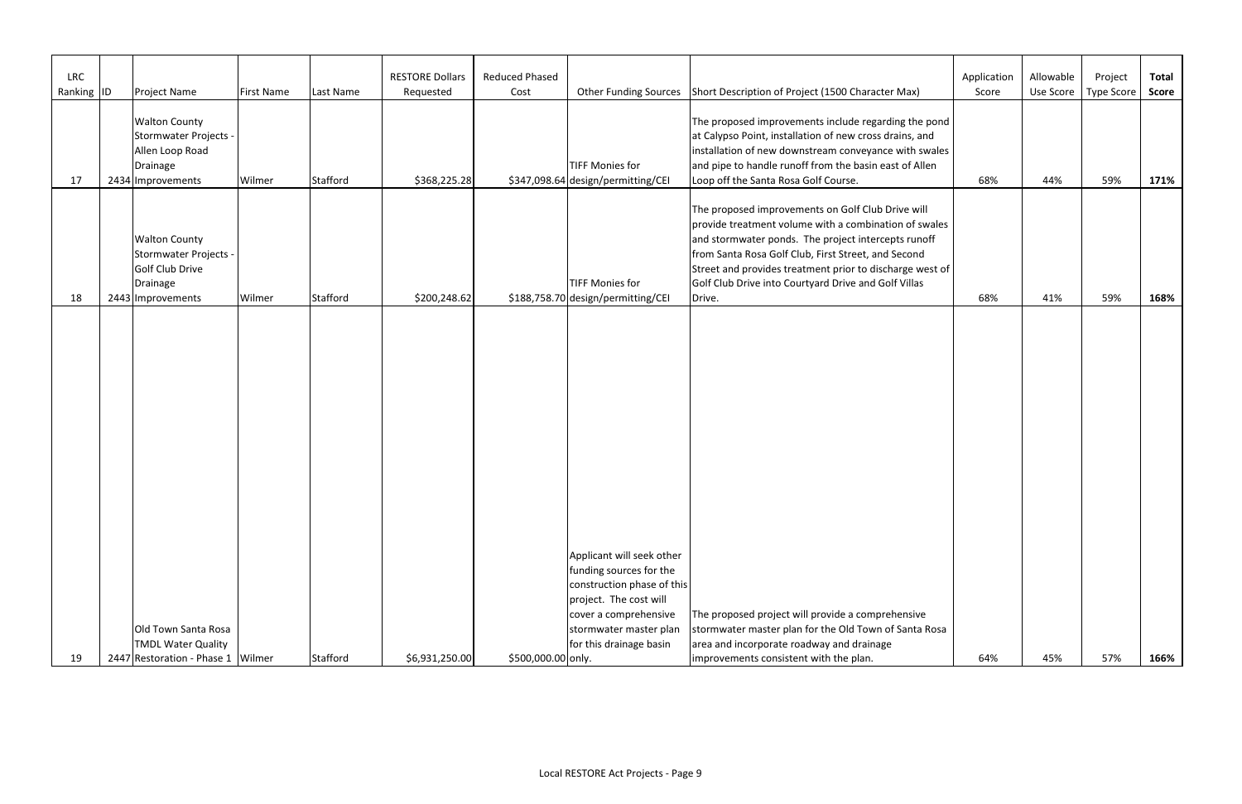| <b>LRC</b><br>Ranking ID | <b>Project Name</b>                                                                               | <b>First Name</b> | Last Name | <b>RESTORE Dollars</b><br>Requested | <b>Reduced Phased</b><br>Cost |                                                                                                                                       | Other Funding Sources Short Description of Project (1500 Character Max)                                                                                                                                                                                                                                                                      | Application<br>Score | Allowable | Project<br>Use Score   Type Score | <b>Total</b><br><b>Score</b> |
|--------------------------|---------------------------------------------------------------------------------------------------|-------------------|-----------|-------------------------------------|-------------------------------|---------------------------------------------------------------------------------------------------------------------------------------|----------------------------------------------------------------------------------------------------------------------------------------------------------------------------------------------------------------------------------------------------------------------------------------------------------------------------------------------|----------------------|-----------|-----------------------------------|------------------------------|
| 17                       | <b>Walton County</b><br>Stormwater Projects -<br>Allen Loop Road<br>Drainage<br>2434 Improvements | Wilmer            | Stafford  | \$368,225.28                        |                               | TIFF Monies for<br>\$347,098.64 design/permitting/CEI                                                                                 | The proposed improvements include regarding the pond<br>at Calypso Point, installation of new cross drains, and<br>installation of new downstream conveyance with swales<br>and pipe to handle runoff from the basin east of Allen<br>Loop off the Santa Rosa Golf Course.                                                                   | 68%                  | 44%       | 59%                               | 171%                         |
|                          | <b>Walton County</b><br>Stormwater Projects -<br>Golf Club Drive<br><b>Drainage</b>               |                   |           |                                     |                               | TIFF Monies for                                                                                                                       | The proposed improvements on Golf Club Drive will<br>provide treatment volume with a combination of swales<br>and stormwater ponds. The project intercepts runoff<br>from Santa Rosa Golf Club, First Street, and Second<br>Street and provides treatment prior to discharge west of<br>Golf Club Drive into Courtyard Drive and Golf Villas |                      |           |                                   |                              |
| 18                       | 2443 Improvements                                                                                 | Wilmer            | Stafford  | \$200,248.62                        |                               | \$188,758.70 design/permitting/CEI                                                                                                    | Drive.                                                                                                                                                                                                                                                                                                                                       | 68%                  | 41%       | 59%                               | 168%                         |
|                          |                                                                                                   |                   |           |                                     |                               | Applicant will seek other<br>funding sources for the<br>construction phase of this<br>project. The cost will<br>cover a comprehensive | The proposed project will provide a comprehensive                                                                                                                                                                                                                                                                                            |                      |           |                                   |                              |
|                          | Old Town Santa Rosa                                                                               |                   |           |                                     |                               | stormwater master plan                                                                                                                | stormwater master plan for the Old Town of Santa Rosa                                                                                                                                                                                                                                                                                        |                      |           |                                   |                              |
| 19                       | <b>TMDL Water Quality</b><br>2447 Restoration - Phase 1 Wilmer                                    |                   | Stafford  | \$6,931,250.00                      | \$500,000.00 only.            | for this drainage basin                                                                                                               | area and incorporate roadway and drainage<br>improvements consistent with the plan.                                                                                                                                                                                                                                                          | 64%                  | 45%       | 57%                               | 166%                         |